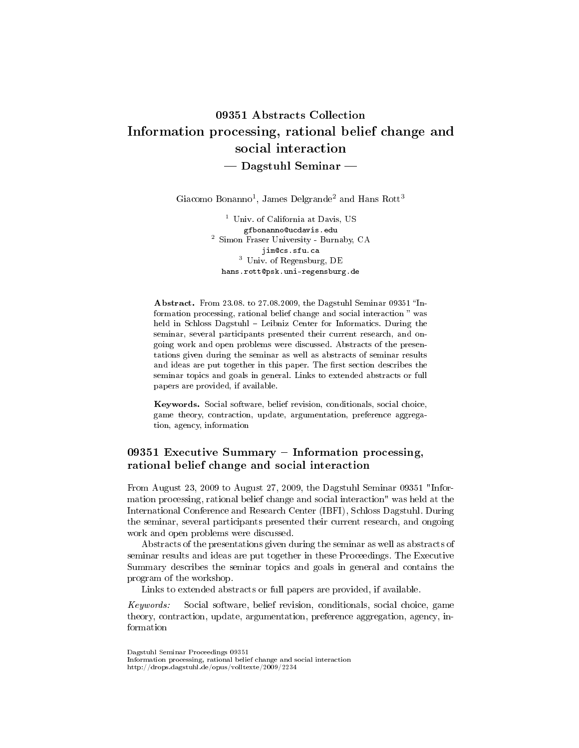# 09351 Abstracts Collection Information processing, rational belief change and social interaction  $-$  Dagstuhl Seminar  $-$

Giacomo Bonanno<sup>1</sup>, James Delgrande<sup>2</sup> and Hans Rott<sup>3</sup>

<sup>1</sup> Univ. of California at Davis, US gfbonanno@ucdavis.edu <sup>2</sup> Simon Fraser University - Burnaby, CA jim@cs.sfu.ca <sup>3</sup> Univ. of Regensburg, DE hans.rott@psk.uni-regensburg.de

Abstract. From  $23.08$ . to  $27.08.2009$ , the Dagstuhl Seminar 09351 "Information processing, rational belief change and social interaction  $^"$  was held in Schloss Dagstuhl – Leibniz Center for Informatics. During the seminar, several participants presented their current research, and ongoing work and open problems were discussed. Abstracts of the presentations given during the seminar as well as abstracts of seminar results and ideas are put together in this paper. The first section describes the seminar topics and goals in general. Links to extended abstracts or full papers are provided, if available.

Keywords. Social software, belief revision, conditionals, social choice, game theory, contraction, update, argumentation, preference aggregation, agency, information

# 09351 Executive Summary  $-$  Information processing, rational belief change and social interaction

From August 23, 2009 to August 27, 2009, the Dagstuhl Seminar 09351 "Information processing, rational belief change and social interaction" was held at the International Conference and Research Center (IBFI), Schloss Dagstuhl. During the seminar, several participants presented their current research, and ongoing work and open problems were discussed.

Abstracts of the presentations given during the seminar as well as abstracts of seminar results and ideas are put together in these Proceedings. The Executive Summary describes the seminar topics and goals in general and contains the program of the workshop.

Links to extended abstracts or full papers are provided, if available.

Keywords: Social software, belief revision, conditionals, social choice, game theory, contraction, update, argumentation, preference aggregation, agency, information

Dagstuhl Seminar Proceedings 09351

Information processing, rational belief change and social interaction http://drops.dagstuhl.de/opus/volltexte/2009/2234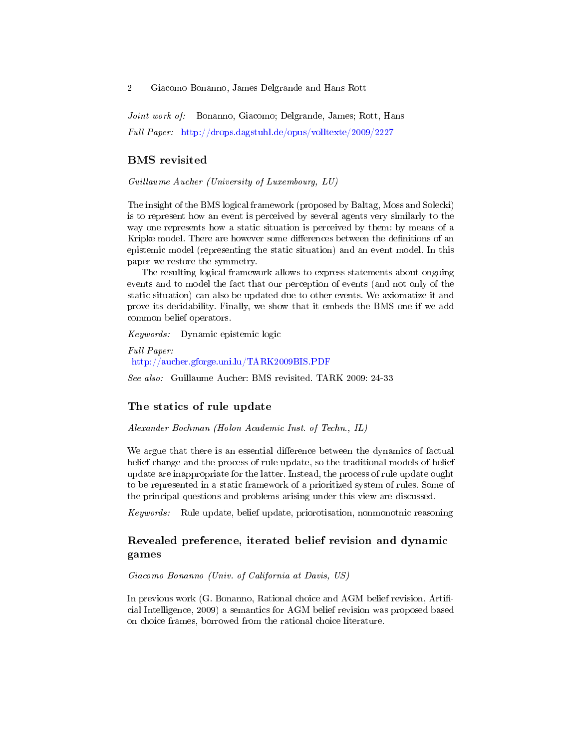Joint work of: Bonanno, Giacomo; Delgrande, James; Rott, Hans Full Paper: <http://drops.dagstuhl.de/opus/volltexte/2009/2227>

#### BMS revisited

Guillaume Aucher (University of Luxembourg, LU)

The insight of the BMS logical framework (proposed by Baltag, Moss and Solecki) is to represent how an event is perceived by several agents very similarly to the way one represents how a static situation is perceived by them: by means of a Kripke model. There are however some differences between the definitions of an epistemic model (representing the static situation) and an event model. In this paper we restore the symmetry.

The resulting logical framework allows to express statements about ongoing events and to model the fact that our perception of events (and not only of the static situation) can also be updated due to other events. We axiomatize it and prove its decidability. Finally, we show that it embeds the BMS one if we add common belief operators.

Keywords: Dynamic epistemic logic

Full Paper: <http://aucher.gforge.uni.lu/TARK2009BIS.PDF>

See also: Guillaume Aucher: BMS revisited. TARK 2009: 24-33

### The statics of rule update

Alexander Bochman (Holon Academic Inst. of Techn., IL)

We argue that there is an essential difference between the dynamics of factual belief change and the process of rule update, so the traditional models of belief update are inappropriate for the latter. Instead, the process of rule update ought to be represented in a static framework of a prioritized system of rules. Some of the principal questions and problems arising under this view are discussed.

Keywords: Rule update, belief update, priorotisation, nonmonotnic reasoning

# Revealed preference, iterated belief revision and dynamic games

#### Giacomo Bonanno (Univ. of California at Davis, US)

In previous work (G. Bonanno, Rational choice and AGM belief revision, Artificial Intelligence, 2009) a semantics for AGM belief revision was proposed based on choice frames, borrowed from the rational choice literature.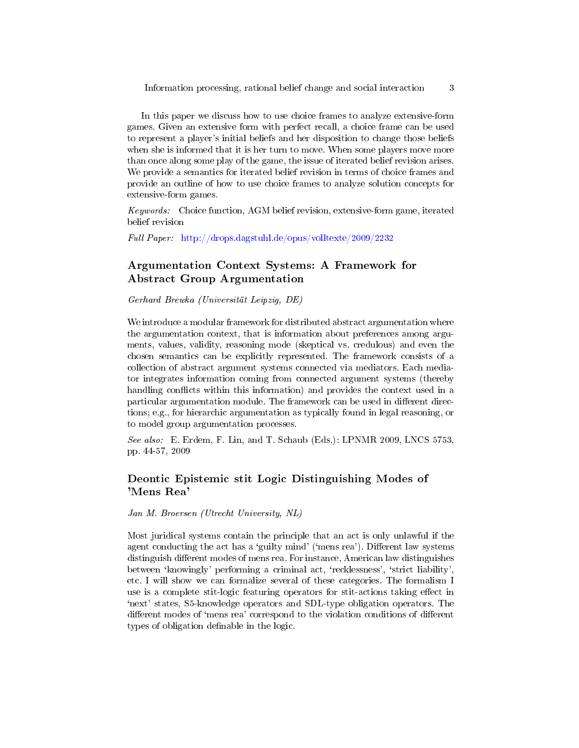In this paper we discuss how to use choice frames to analyze extensive-form games. Given an extensive form with perfect recall, a choice frame can be used to represent a player's initial beliefs and her disposition to change those beliefs when she is informed that it is her turn to move. When some players move more than once along some play of the game, the issue of iterated belief revision arises. We provide a semantics for iterated belief revision in terms of choice frames and provide an outline of how to use choice frames to analyze solution concepts for extensive-form games.

Keywords: Choice function, AGM belief revision, extensive-form game, iterated belief revision

Full Paper: <http://drops.dagstuhl.de/opus/volltexte/2009/2232>

# Argumentation Context Systems: A Framework for Abstract Group Argumentation

Gerhard Brewka (Universität Leipzig, DE)

We introduce a modular framework for distributed abstract argumentation where the argumentation context, that is information about preferences among arguments, values, validity, reasoning mode (skeptical vs. credulous) and even the chosen semantics can be explicitly represented. The framework consists of a collection of abstract argument systems connected via mediators. Each mediator integrates information coming from connected argument systems (thereby handling conflicts within this information) and provides the context used in a particular argumentation module. The framework can be used in different directions; e.g., for hierarchic argumentation as typically found in legal reasoning, or to model group argumentation processes.

See also: E. Erdem, F. Lin, and T. Schaub (Eds.): LPNMR 2009, LNCS 5753, pp. 44-57, 2009

## Deontic Epistemic stit Logic Distinguishing Modes of 'Mens Rea'

Jan M. Broersen (Utrecht University, NL)

Most juridical systems contain the principle that an act is only unlawful if the agent conducting the act has a 'guilty mind' ('mens rea'). Different law systems distinguish different modes of mens rea. For instance, American law distinguishes between 'knowingly' performing a criminal act, 'recklessness', 'strict liability', etc. I will show we can formalize several of these categories. The formalism I use is a complete stit-logic featuring operators for stit-actions taking effect in `next' states, S5-knowledge operators and SDL-type obligation operators. The different modes of 'mens rea' correspond to the violation conditions of different types of obligation definable in the logic.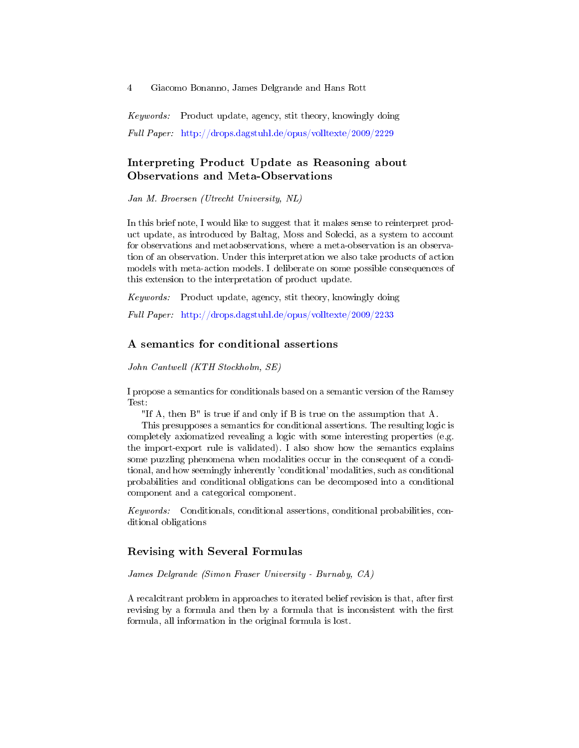Keywords: Product update, agency, stit theory, knowingly doing Full Paper: <http://drops.dagstuhl.de/opus/volltexte/2009/2229>

# Interpreting Product Update as Reasoning about Observations and Meta-Observations

Jan M. Broersen (Utrecht University, NL)

In this brief note, I would like to suggest that it makes sense to reinterpret product update, as introduced by Baltag, Moss and Solecki, as a system to account for observations and metaobservations, where a meta-observation is an observation of an observation. Under this interpretation we also take products of action models with meta-action models. I deliberate on some possible consequences of this extension to the interpretation of product update.

Keywords: Product update, agency, stit theory, knowingly doing

Full Paper: <http://drops.dagstuhl.de/opus/volltexte/2009/2233>

#### A semantics for conditional assertions

John Cantwell (KTH Stockholm, SE)

I propose a semantics for conditionals based on a semantic version of the Ramsey Test:

"If A, then B" is true if and only if B is true on the assumption that A.

This presupposes a semantics for conditional assertions. The resulting logic is completely axiomatized revealing a logic with some interesting properties (e.g. the import-export rule is validated). I also show how the semantics explains some puzzling phenomena when modalities occur in the consequent of a conditional, and how seemingly inherently 'conditional' modalities, such as conditional probabilities and conditional obligations can be decomposed into a conditional component and a categorical component.

Keywords: Conditionals, conditional assertions, conditional probabilities, conditional obligations

## Revising with Several Formulas

James Delgrande (Simon Fraser University - Burnaby, CA)

A recalcitrant problem in approaches to iterated belief revision is that, after first revising by a formula and then by a formula that is inconsistent with the first formula, all information in the original formula is lost.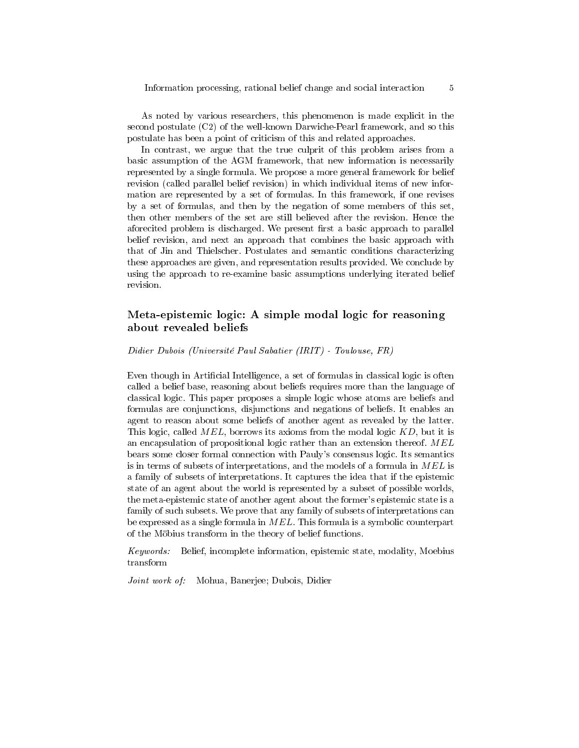As noted by various researchers, this phenomenon is made explicit in the second postulate (C2) of the well-known Darwiche-Pearl framework, and so this postulate has been a point of criticism of this and related approaches.

In contrast, we argue that the true culprit of this problem arises from a basic assumption of the AGM framework, that new information is necessarily represented by a single formula. We propose a more general framework for belief revision (called parallel belief revision) in which individual items of new information are represented by a set of formulas. In this framework, if one revises by a set of formulas, and then by the negation of some members of this set, then other members of the set are still believed after the revision. Hence the aforecited problem is discharged. We present first a basic approach to parallel belief revision, and next an approach that combines the basic approach with that of Jin and Thielscher. Postulates and semantic conditions characterizing these approaches are given, and representation results provided. We conclude by using the approach to re-examine basic assumptions underlying iterated belief revision.

# Meta-epistemic logic: A simple modal logic for reasoning about revealed beliefs

Didier Dubois (Université Paul Sabatier (IRIT) - Toulouse, FR)

Even though in Artificial Intelligence, a set of formulas in classical logic is often called a belief base, reasoning about beliefs requires more than the language of classical logic. This paper proposes a simple logic whose atoms are beliefs and formulas are conjunctions, disjunctions and negations of beliefs. It enables an agent to reason about some beliefs of another agent as revealed by the latter. This logic, called  $MEL$ , borrows its axioms from the modal logic  $KD$ , but it is an encapsulation of propositional logic rather than an extension thereof. MEL bears some closer formal connection with Pauly's consensus logic. Its semantics is in terms of subsets of interpretations, and the models of a formula in MEL is a family of subsets of interpretations. It captures the idea that if the epistemic state of an agent about the world is represented by a subset of possible worlds, the meta-epistemic state of another agent about the former's epistemic state is a family of such subsets. We prove that any family of subsets of interpretations can be expressed as a single formula in  $MEL$ . This formula is a symbolic counterpart of the Möbius transform in the theory of belief functions.

Keywords: Belief, incomplete information, epistemic state, modality, Moebius transform

Joint work of: Mohua, Banerjee; Dubois, Didier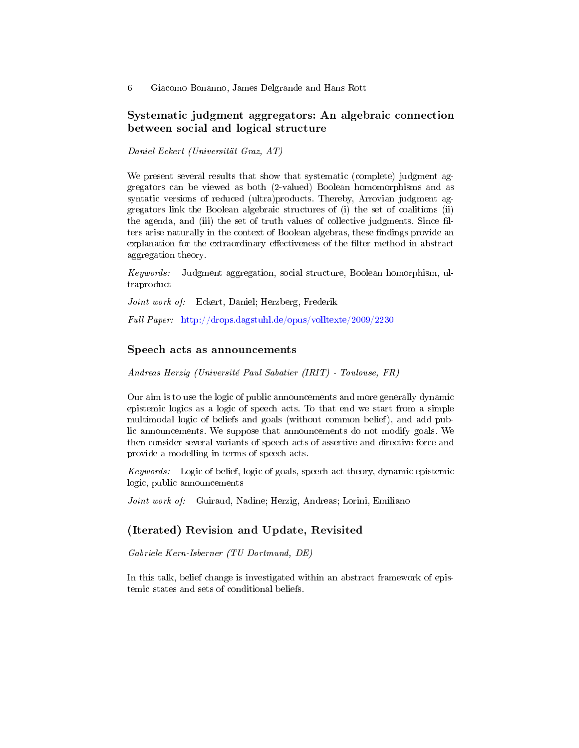# Systematic judgment aggregators: An algebraic connection between social and logical structure

Daniel Eckert (Universität Graz, AT)

We present several results that show that systematic (complete) judgment aggregators can be viewed as both (2-valued) Boolean homomorphisms and as syntatic versions of reduced (ultra)products. Thereby, Arrovian judgment aggregators link the Boolean algebraic structures of (i) the set of coalitions (ii) the agenda, and (iii) the set of truth values of collective judgments. Since filters arise naturally in the context of Boolean algebras, these findings provide an explanation for the extraordinary effectiveness of the filter method in abstract aggregation theory.

Keywords: Judgment aggregation, social structure, Boolean homorphism, ultraproduct

Joint work of: Eckert, Daniel; Herzberg, Frederik

Full Paper: <http://drops.dagstuhl.de/opus/volltexte/2009/2230>

#### Speech acts as announcements

Andreas Herzig (Université Paul Sabatier (IRIT) - Toulouse, FR)

Our aim is to use the logic of public announcements and more generally dynamic epistemic logics as a logic of speech acts. To that end we start from a simple multimodal logic of beliefs and goals (without common belief), and add public announcements. We suppose that announcements do not modify goals. We then consider several variants of speech acts of assertive and directive force and provide a modelling in terms of speech acts.

Keywords: Logic of belief, logic of goals, speech act theory, dynamic epistemic logic, public announcements

Joint work of: Guiraud, Nadine; Herzig, Andreas; Lorini, Emiliano

# (Iterated) Revision and Update, Revisited

Gabriele Kern-Isberner (TU Dortmund, DE)

In this talk, belief change is investigated within an abstract framework of epistemic states and sets of conditional beliefs.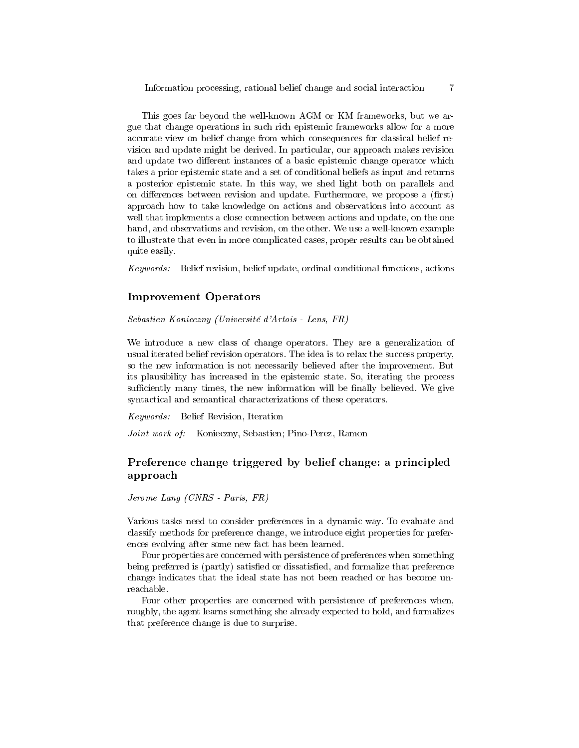This goes far beyond the well-known AGM or KM frameworks, but we argue that change operations in such rich epistemic frameworks allow for a more accurate view on belief change from which consequences for classical belief revision and update might be derived. In particular, our approach makes revision and update two different instances of a basic epistemic change operator which takes a prior epistemic state and a set of conditional beliefs as input and returns a posterior epistemic state. In this way, we shed light both on parallels and on differences between revision and update. Furthermore, we propose a (first) approach how to take knowledge on actions and observations into account as well that implements a close connection between actions and update, on the one hand, and observations and revision, on the other. We use a well-known example to illustrate that even in more complicated cases, proper results can be obtained quite easily.

Keywords: Belief revision, belief update, ordinal conditional functions, actions

#### Improvement Operators

Sebastien Konieczny (Université d'Artois - Lens, FR)

We introduce a new class of change operators. They are a generalization of usual iterated belief revision operators. The idea is to relax the success property, so the new information is not necessarily believed after the improvement. But its plausibility has increased in the epistemic state. So, iterating the process sufficiently many times, the new information will be finally believed. We give syntactical and semantical characterizations of these operators.

Keywords: Belief Revision, Iteration

Joint work of: Konieczny, Sebastien; Pino-Perez, Ramon

# Preference change triggered by belief change: a principled approach

Jerome Lang (CNRS - Paris, FR)

Various tasks need to consider preferences in a dynamic way. To evaluate and classify methods for preference change, we introduce eight properties for preferences evolving after some new fact has been learned.

Four properties are concerned with persistence of preferences when something being preferred is (partly) satisfied or dissatisfied, and formalize that preference change indicates that the ideal state has not been reached or has become unreachable.

Four other properties are concerned with persistence of preferences when, roughly, the agent learns something she already expected to hold, and formalizes that preference change is due to surprise.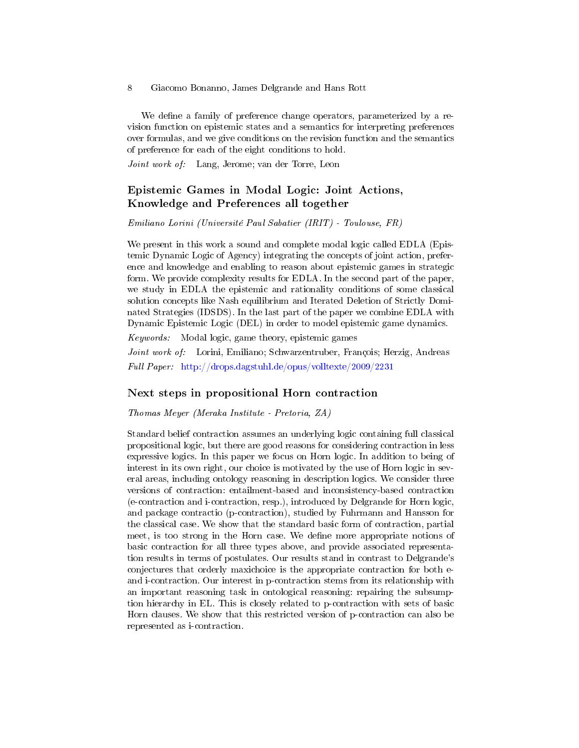We define a family of preference change operators, parameterized by a revision function on epistemic states and a semantics for interpreting preferences over formulas, and we give conditions on the revision function and the semantics of preference for each of the eight conditions to hold.

Joint work of: Lang, Jerome; van der Torre, Leon

# Epistemic Games in Modal Logic: Joint Actions, Knowledge and Preferences all together

Emiliano Lorini (Université Paul Sabatier (IRIT) - Toulouse, FR)

We present in this work a sound and complete modal logic called EDLA (Epistemic Dynamic Logic of Agency) integrating the concepts of joint action, preference and knowledge and enabling to reason about epistemic games in strategic form. We provide complexity results for EDLA. In the second part of the paper, we study in EDLA the epistemic and rationality conditions of some classical solution concepts like Nash equilibrium and Iterated Deletion of Strictly Dominated Strategies (IDSDS). In the last part of the paper we combine EDLA with Dynamic Epistemic Logic (DEL) in order to model epistemic game dynamics.

Keywords: Modal logic, game theory, epistemic games

Joint work of: Lorini, Emiliano; Schwarzentruber, François; Herzig, Andreas Full Paper: <http://drops.dagstuhl.de/opus/volltexte/2009/2231>

#### Next steps in propositional Horn contraction

Thomas Meyer (Meraka Institute - Pretoria, ZA)

Standard belief contraction assumes an underlying logic containing full classical propositional logic, but there are good reasons for considering contraction in less expressive logics. In this paper we focus on Horn logic. In addition to being of interest in its own right, our choice is motivated by the use of Horn logic in several areas, including ontology reasoning in description logics. We consider three versions of contraction: entailment-based and inconsistency-based contraction (e-contraction and i-contraction, resp.), introduced by Delgrande for Horn logic, and package contractio (p-contraction), studied by Fuhrmann and Hansson for the classical case. We show that the standard basic form of contraction, partial meet, is too strong in the Horn case. We define more appropriate notions of basic contraction for all three types above, and provide associated representation results in terms of postulates. Our results stand in contrast to Delgrande's conjectures that orderly maxichoice is the appropriate contraction for both eand i-contraction. Our interest in p-contraction stems from its relationship with an important reasoning task in ontological reasoning: repairing the subsumption hierarchy in EL. This is closely related to p-contraction with sets of basic Horn clauses. We show that this restricted version of p-contraction can also be represented as i-contraction.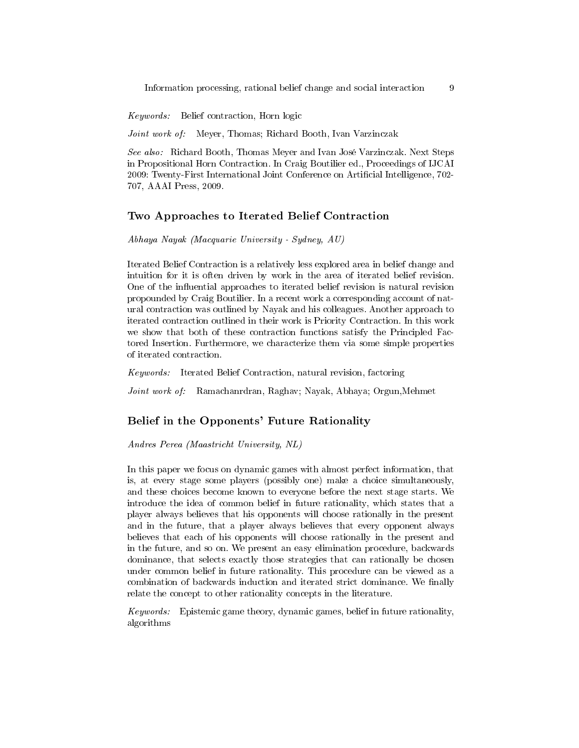Information processing, rational belief change and social interaction 9

Keywords: Belief contraction, Horn logic

Joint work of: Meyer, Thomas; Richard Booth, Ivan Varzinczak

See also: Richard Booth, Thomas Meyer and Ivan José Varzinczak. Next Steps in Propositional Horn Contraction. In Craig Boutilier ed., Proceedings of IJCAI 2009: Twenty-First International Joint Conference on Articial Intelligence, 702- 707, AAAI Press, 2009.

#### Two Approaches to Iterated Belief Contraction

Abhaya Nayak (Macquarie University - Sydney, AU)

Iterated Belief Contraction is a relatively less explored area in belief change and intuition for it is often driven by work in the area of iterated belief revision. One of the influential approaches to iterated belief revision is natural revision propounded by Craig Boutilier. In a recent work a corresponding account of natural contraction was outlined by Nayak and his colleagues. Another approach to iterated contraction outlined in their work is Priority Contraction. In this work we show that both of these contraction functions satisfy the Principled Factored Insertion. Furthermore, we characterize them via some simple properties of iterated contraction.

Keywords: Iterated Belief Contraction, natural revision, factoring

Joint work of: Ramachanrdran, Raghav; Nayak, Abhaya; Orgun,Mehmet

#### Belief in the Opponents' Future Rationality

Andres Perea (Maastricht University, NL)

In this paper we focus on dynamic games with almost perfect information, that is, at every stage some players (possibly one) make a choice simultaneously, and these choices become known to everyone before the next stage starts. We introduce the idea of common belief in future rationality, which states that a player always believes that his opponents will choose rationally in the present and in the future, that a player always believes that every opponent always believes that each of his opponents will choose rationally in the present and in the future, and so on. We present an easy elimination procedure, backwards dominance, that selects exactly those strategies that can rationally be chosen under common belief in future rationality. This procedure can be viewed as a combination of backwards induction and iterated strict dominance. We finally relate the concept to other rationality concepts in the literature.

Keywords: Epistemic game theory, dynamic games, belief in future rationality, algorithms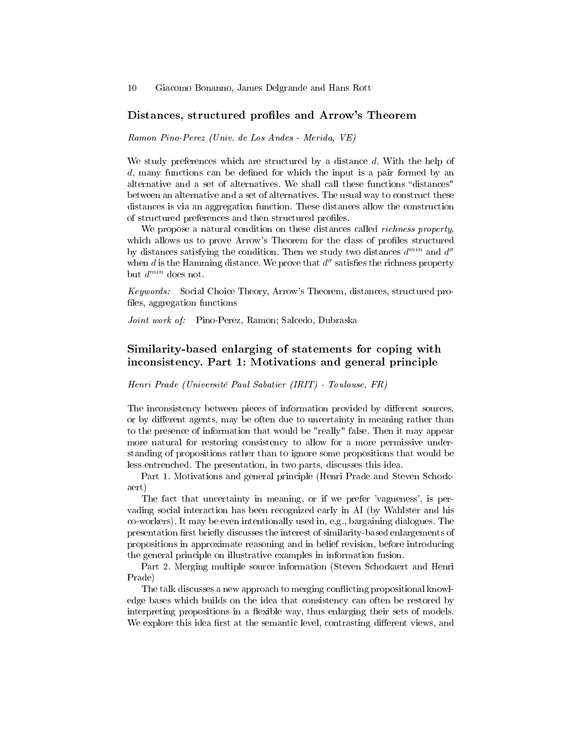#### Distances, structured profiles and Arrow's Theorem

Ramon Pino-Perez (Univ. de Los Andes - Merida, VE)

We study preferences which are structured by a distance d. With the help of  $d$ , many functions can be defined for which the input is a pair formed by an alternative and a set of alternatives. We shall call these functions "distances" between an alternative and a set of alternatives. The usual way to construct these distances is via an aggregation function. These distances allow the construction of structured preferences and then structured profiles.

We propose a natural condition on these distances called *richness property*, which allows us to prove Arrow's Theorem for the class of profiles structured by distances satisfying the condition. Then we study two distances  $d^{min}$  and  $d^{\sigma}$ when d is the Hamming distance. We prove that  $d^{\sigma}$  satisfies the richness property but  $d^{min}$  does not.

Keywords: Social Choice Theory, Arrow's Theorem, distances, structured pro files, aggregation functions

Joint work of: Pino-Perez, Ramon; Salcedo, Dubraska

# Similarity-based enlarging of statements for coping with inconsistency. Part 1: Motivations and general principle

Henri Prade (Université Paul Sabatier (IRIT) - Toulouse, FR)

The inconsistency between pieces of information provided by different sources, or by different agents, may be often due to uncertainty in meaning rather than to the presence of information that would be "really" false. Then it may appear more natural for restoring consistency to allow for a more permissive understanding of propositions rather than to ignore some propositions that would be less entrenched. The presentation, in two parts, discusses this idea.

Part 1. Motivations and general principle (Henri Prade and Steven Schockaert)

The fact that uncertainty in meaning, or if we prefer 'vagueness', is pervading social interaction has been recognized early in AI (by Wahlster and his co-workers). It may be even intentionally used in, e.g., bargaining dialogues. The presentation first briefly discusses the interest of similarity-based enlargements of propositions in approximate reasoning and in belief revision, before introducing the general principle on illustrative examples in information fusion.

Part 2. Merging multiple source information (Steven Schockaert and Henri Prade)

The talk discusses a new approach to merging conflicting propositional knowledge bases which builds on the idea that consistency can often be restored by interpreting propositions in a flexible way, thus enlarging their sets of models. We explore this idea first at the semantic level, contrasting different views, and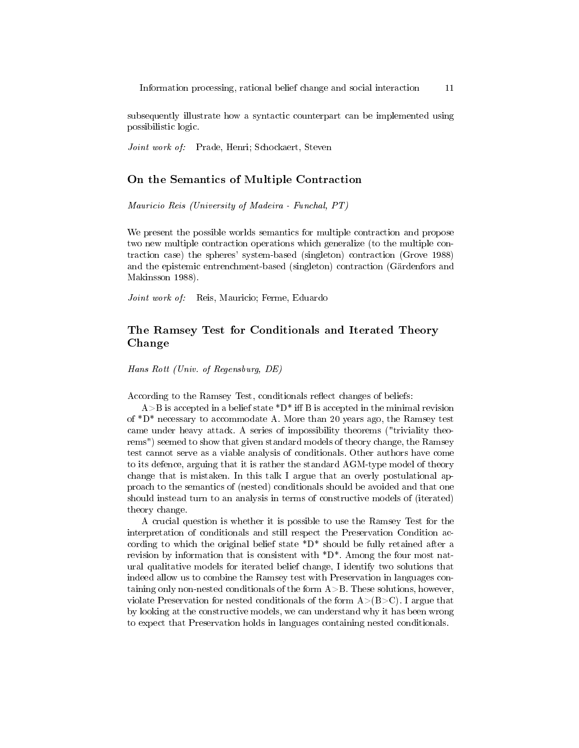subsequently illustrate how a syntactic counterpart can be implemented using possibilistic logic.

Joint work of: Prade, Henri; Schockaert, Steven

#### On the Semantics of Multiple Contraction

Mauricio Reis (University of Madeira - Funchal, PT)

We present the possible worlds semantics for multiple contraction and propose two new multiple contraction operations which generalize (to the multiple contraction case) the spheres' system-based (singleton) contraction (Grove 1988) and the epistemic entrenchment-based (singleton) contraction (Gärdenfors and Makinsson 1988).

Joint work of: Reis, Mauricio; Ferme, Eduardo

# The Ramsey Test for Conditionals and Iterated Theory Change

Hans Rott (Univ. of Regensburg, DE)

According to the Ramsey Test, conditionals reflect changes of beliefs:

 $A > B$  is accepted in a belief state  $D^*$  iff B is accepted in the minimal revision of \*D\* necessary to accommodate A. More than 20 years ago, the Ramsey test came under heavy attack. A series of impossibility theorems ("triviality theorems") seemed to show that given standard models of theory change, the Ramsey test cannot serve as a viable analysis of conditionals. Other authors have come to its defence, arguing that it is rather the standard AGM-type model of theory change that is mistaken. In this talk I argue that an overly postulational approach to the semantics of (nested) conditionals should be avoided and that one should instead turn to an analysis in terms of constructive models of (iterated) theory change.

A crucial question is whether it is possible to use the Ramsey Test for the interpretation of conditionals and still respect the Preservation Condition according to which the original belief state  $D^*$  should be fully retained after a revision by information that is consistent with  $D^*$ . Among the four most natural qualitative models for iterated belief change, I identify two solutions that indeed allow us to combine the Ramsey test with Preservation in languages containing only non-nested conditionals of the form  $A > B$ . These solutions, however, violate Preservation for nested conditionals of the form  $A>(B>C)$ . I argue that by looking at the constructive models, we can understand why it has been wrong to expect that Preservation holds in languages containing nested conditionals.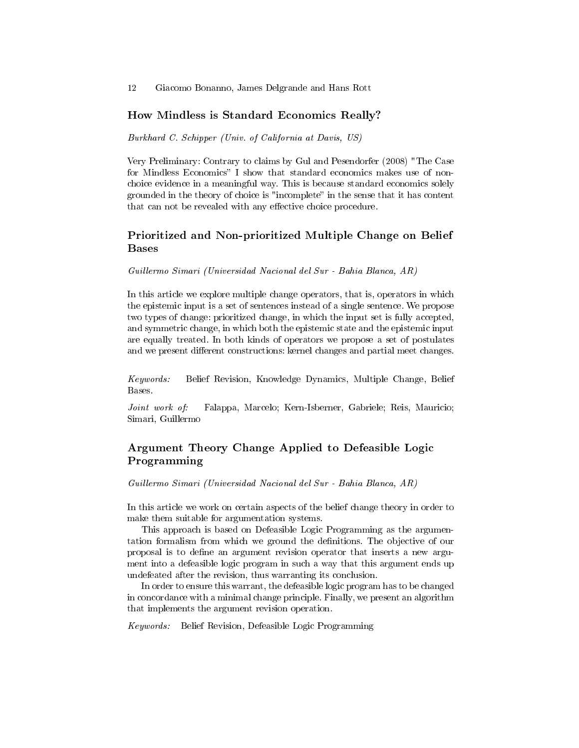#### How Mindless is Standard Economics Really?

Burkhard C. Schipper (Univ. of California at Davis, US)

Very Preliminary: Contrary to claims by Gul and Pesendorfer (2008) "The Case for Mindless Economics" I show that standard economics makes use of nonchoice evidence in a meaningful way. This is because standard economics solely grounded in the theory of choice is "incomplete" in the sense that it has content that can not be revealed with any effective choice procedure.

# Prioritized and Non-prioritized Multiple Change on Belief Bases

Guillermo Simari (Universidad Nacional del Sur - Bahia Blanca, AR)

In this article we explore multiple change operators, that is, operators in which the epistemic input is a set of sentences instead of a single sentence. We propose two types of change: prioritized change, in which the input set is fully accepted, and symmetric change, in which both the epistemic state and the epistemic input are equally treated. In both kinds of operators we propose a set of postulates and we present different constructions: kernel changes and partial meet changes.

Keywords: Belief Revision, Knowledge Dynamics, Multiple Change, Belief Bases.

Joint work of: Falappa, Marcelo; Kern-Isberner, Gabriele; Reis, Mauricio; Simari, Guillermo

# Argument Theory Change Applied to Defeasible Logic Programming

Guillermo Simari (Universidad Nacional del Sur - Bahia Blanca, AR)

In this article we work on certain aspects of the belief change theory in order to make them suitable for argumentation systems.

This approach is based on Defeasible Logic Programming as the argumentation formalism from which we ground the definitions. The objective of our proposal is to dene an argument revision operator that inserts a new argument into a defeasible logic program in such a way that this argument ends up undefeated after the revision, thus warranting its conclusion.

In order to ensure this warrant, the defeasible logic program has to be changed in concordance with a minimal change principle. Finally, we present an algorithm that implements the argument revision operation.

Keywords: Belief Revision, Defeasible Logic Programming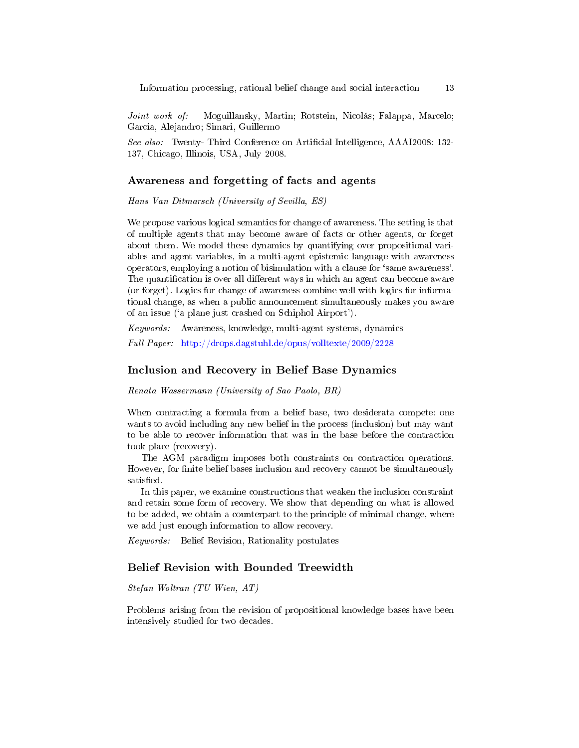Joint work of: Moguillansky, Martin; Rotstein, Nicolás; Falappa, Marcelo; Garcia, Alejandro; Simari, Guillermo

See also: Twenty- Third Conference on Artificial Intelligence, AAAI2008: 132-137, Chicago, Illinois, USA, July 2008.

#### Awareness and forgetting of facts and agents

Hans Van Ditmarsch (University of Sevilla, ES)

We propose various logical semantics for change of awareness. The setting is that of multiple agents that may become aware of facts or other agents, or forget about them. We model these dynamics by quantifying over propositional variables and agent variables, in a multi-agent epistemic language with awareness operators, employing a notion of bisimulation with a clause for `same awareness'. The quantification is over all different ways in which an agent can become aware (or forget). Logics for change of awareness combine well with logics for informational change, as when a public announcement simultaneously makes you aware of an issue (`a plane just crashed on Schiphol Airport').

Keywords: Awareness, knowledge, multi-agent systems, dynamics Full Paper: <http://drops.dagstuhl.de/opus/volltexte/2009/2228>

#### Inclusion and Recovery in Belief Base Dynamics

Renata Wassermann (University of Sao Paolo, BR)

When contracting a formula from a belief base, two desiderata compete: one wants to avoid including any new belief in the process (inclusion) but may want to be able to recover information that was in the base before the contraction took place (recovery).

The AGM paradigm imposes both constraints on contraction operations. However, for finite belief bases inclusion and recovery cannot be simultaneously satisfied.

In this paper, we examine constructions that weaken the inclusion constraint and retain some form of recovery. We show that depending on what is allowed to be added, we obtain a counterpart to the principle of minimal change, where we add just enough information to allow recovery.

Keywords: Belief Revision, Rationality postulates

#### Belief Revision with Bounded Treewidth

Stefan Woltran (TU Wien, AT)

Problems arising from the revision of propositional knowledge bases have been intensively studied for two decades.